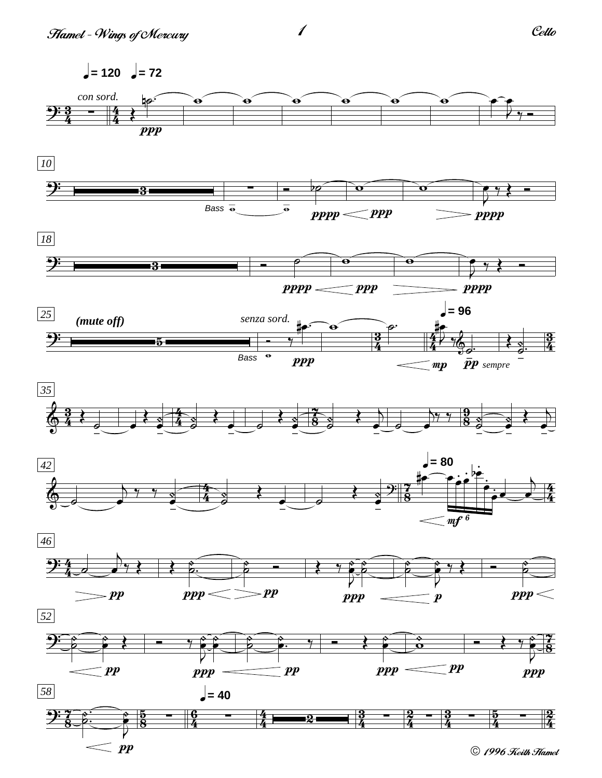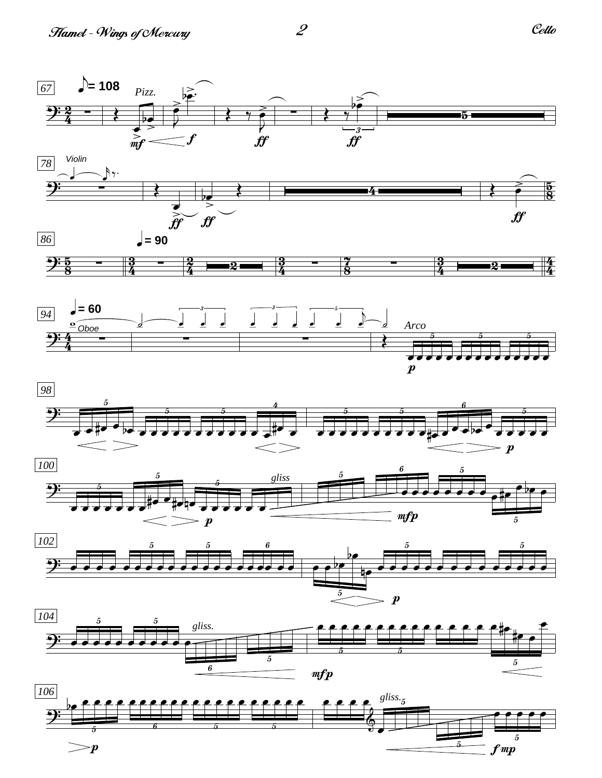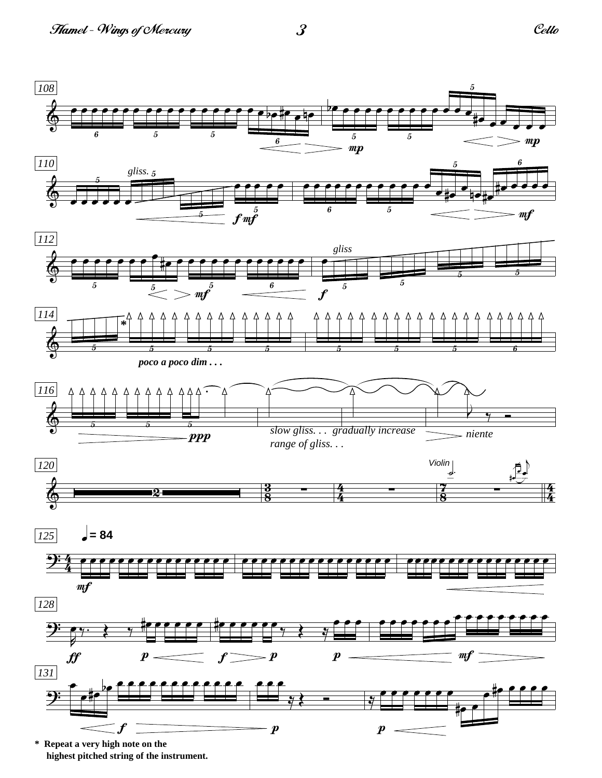

**\* Repeat a very high note on the highest pitched string of the instrument.**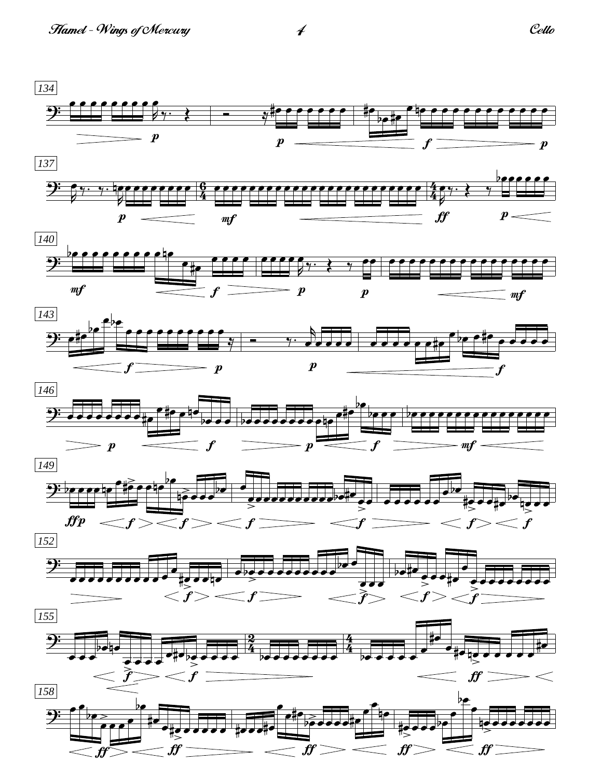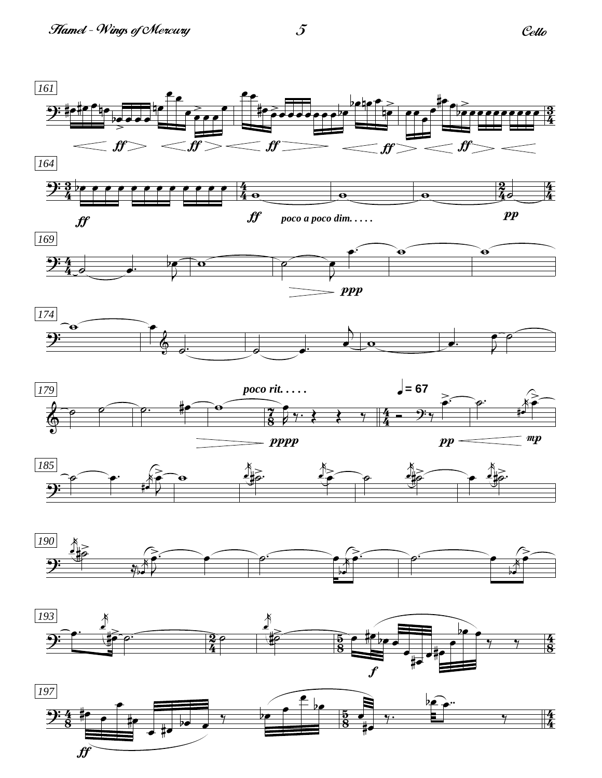